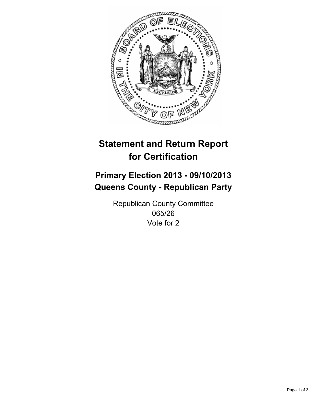

# **Statement and Return Report for Certification**

# **Primary Election 2013 - 09/10/2013 Queens County - Republican Party**

Republican County Committee 065/26 Vote for 2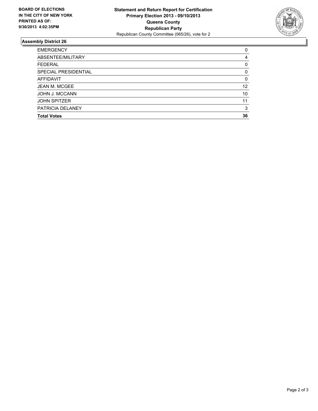

## **Assembly District 26**

| ABSENTEE/MILITARY<br><b>FEDERAL</b><br>SPECIAL PRESIDENTIAL<br><b>AFFIDAVIT</b><br><b>JEAN M. MCGEE</b><br><b>JOHN J. MCCANN</b><br><b>JOHN SPITZER</b><br>PATRICIA DELANEY<br><b>Total Votes</b> | <b>EMERGENCY</b> | 0        |
|---------------------------------------------------------------------------------------------------------------------------------------------------------------------------------------------------|------------------|----------|
|                                                                                                                                                                                                   |                  | 4        |
|                                                                                                                                                                                                   |                  | 0        |
|                                                                                                                                                                                                   |                  | 0        |
|                                                                                                                                                                                                   |                  | $\Omega$ |
|                                                                                                                                                                                                   |                  | 12       |
|                                                                                                                                                                                                   |                  | 10       |
|                                                                                                                                                                                                   |                  | 11       |
|                                                                                                                                                                                                   |                  | 3        |
|                                                                                                                                                                                                   |                  | 36       |